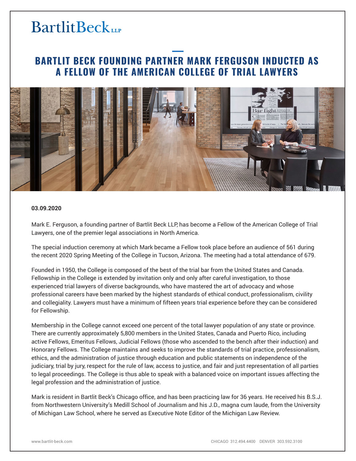# **BartlitBeck**

### **BARTLIT BECK FOUNDING PARTNER MARK FERGUSON INDUCTED AS A FELLOW OF THE AMERICAN COLLEGE OF TRIAL LAWYERS**



#### **03.09.2020**

Mark E. Ferguson, a founding partner of Bartlit Beck LLP, has become a Fellow of the American College of Trial Lawyers, one of the premier legal associations in North America.

The special induction ceremony at which Mark became a Fellow took place before an audience of 561 during the recent 2020 Spring Meeting of the College in Tucson, Arizona. The meeting had a total attendance of 679.

Founded in 1950, the College is composed of the best of the trial bar from the United States and Canada. Fellowship in the College is extended by invitation only and only after careful investigation, to those experienced trial lawyers of diverse backgrounds, who have mastered the art of advocacy and whose professional careers have been marked by the highest standards of ethical conduct, professionalism, civility and collegiality. Lawyers must have a minimum of fifteen years trial experience before they can be considered for Fellowship.

Membership in the College cannot exceed one percent of the total lawyer population of any state or province. There are currently approximately 5,800 members in the United States, Canada and Puerto Rico, including active Fellows, Emeritus Fellows, Judicial Fellows (those who ascended to the bench after their induction) and Honorary Fellows. The College maintains and seeks to improve the standards of trial practice, professionalism, ethics, and the administration of justice through education and public statements on independence of the judiciary, trial by jury, respect for the rule of law, access to justice, and fair and just representation of all parties to legal proceedings. The College is thus able to speak with a balanced voice on important issues affecting the legal profession and the administration of justice.

Mark is resident in Bartlit Beck's Chicago office, and has been practicing law for 36 years. He received his B.S.J. from Northwestern University's Medill School of Journalism and his J.D., magna cum laude, from the University of Michigan Law School, where he served as Executive Note Editor of the Michigan Law Review.